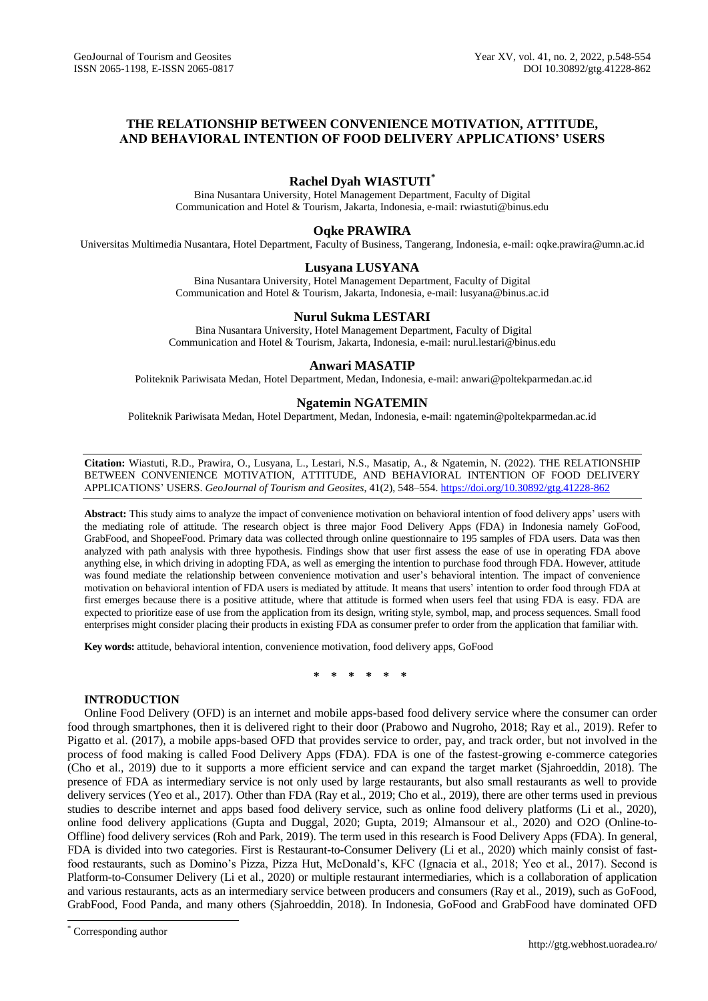# **THE RELATIONSHIP BETWEEN CONVENIENCE MOTIVATION, ATTITUDE, AND BEHAVIORAL INTENTION OF FOOD DELIVERY APPLICATIONS' USERS**

# **Rachel Dyah WIASTUTI\***

Bina Nusantara University, Hotel Management Department, Faculty of Digital Communication and Hotel & Tourism, Jakarta, Indonesia, e-mail: rwiastuti@binus.edu

# **Oqke PRAWIRA**

Universitas Multimedia Nusantara, Hotel Department, Faculty of Business, Tangerang, Indonesia, e-mail: [oqke.prawira@umn.ac.id](mailto:oqke.prawira@umn.ac.id)

# **Lusyana LUSYANA**

Bina Nusantara University, Hotel Management Department, Faculty of Digital Communication and Hotel & Tourism, Jakarta, Indonesia, e-mail: [lusyana@binus.ac.id](mailto:lusyana@binus.ac.id)

## **Nurul Sukma LESTARI**

Bina Nusantara University, Hotel Management Department, Faculty of Digital Communication and Hotel & Tourism, Jakarta, Indonesia, e-mail[: nurul.lestari@binus.edu](mailto:nurul.lestari@binus.edu)

## **Anwari MASATIP**

Politeknik Pariwisata Medan, Hotel Department, Medan, Indonesia, e-mail: [anwari@poltekparmedan.ac.id](mailto:anwari@poltekparmedan.ac.id)

### **Ngatemin NGATEMIN**

Politeknik Pariwisata Medan, Hotel Department, Medan, Indonesia, e-mail: ngatemin@poltekparmedan.ac.id

**Citation:** Wiastuti, R.D., Prawira, O., Lusyana, L., Lestari, N.S., Masatip, A., & Ngatemin, N. (2022). THE RELATIONSHIP BETWEEN CONVENIENCE MOTIVATION, ATTITUDE, AND BEHAVIORAL INTENTION OF FOOD DELIVERY APPLICATIONS' USERS. *GeoJournal of Tourism and Geosites*, 41(2), 548–554. <https://doi.org/10.30892/gtg.41228-862>

**Abstract:** This study aims to analyze the impact of convenience motivation on behavioral intention of food delivery apps' users with the mediating role of attitude. The research object is three major Food Delivery Apps (FDA) in Indonesia namely GoFood, GrabFood, and ShopeeFood. Primary data was collected through online questionnaire to 195 samples of FDA users. Data was then analyzed with path analysis with three hypothesis. Findings show that user first assess the ease of use in operating FDA above anything else, in which driving in adopting FDA, as well as emerging the intention to purchase food through FDA. However, attitude was found mediate the relationship between convenience motivation and user's behavioral intention. The impact of convenience motivation on behavioral intention of FDA users is mediated by attitude. It means that users' intention to order food through FDA at first emerges because there is a positive attitude, where that attitude is formed when users feel that using FDA is easy. FDA are expected to prioritize ease of use from the application from its design, writing style, symbol, map, and process sequences. Small food enterprises might consider placing their products in existing FDA as consumer prefer to order from the application that familiar with.

**Key words:** attitude, behavioral intention, convenience motivation, food delivery apps, GoFood

**\* \* \* \* \* \***

### **INTRODUCTION**

Online Food Delivery (OFD) is an internet and mobile apps-based food delivery service where the consumer can order food through smartphones, then it is delivered right to their door (Prabowo and Nugroho, 2018; Ray et al., 2019). Refer to Pigatto et al. (2017), a mobile apps-based OFD that provides service to order, pay, and track order, but not involved in the process of food making is called Food Delivery Apps (FDA). FDA is one of the fastest-growing e-commerce categories (Cho et al., 2019) due to it supports a more efficient service and can expand the target market (Sjahroeddin, 2018). The presence of FDA as intermediary service is not only used by large restaurants, but also small restaurants as well to provide delivery services (Yeo et al., 2017). Other than FDA (Ray et al., 2019; Cho et al., 2019), there are other terms used in previous studies to describe internet and apps based food delivery service, such as online food delivery platforms (Li et al., 2020), online food delivery applications (Gupta and Duggal, 2020; Gupta, 2019; Almansour et al., 2020) and O2O (Online-to-Offline) food delivery services (Roh and Park, 2019). The term used in this research is Food Delivery Apps (FDA). In general, FDA is divided into two categories. First is Restaurant-to-Consumer Delivery (Li et al., 2020) which mainly consist of fastfood restaurants, such as Domino's Pizza, Pizza Hut, McDonald's, KFC (Ignacia et al., 2018; Yeo et al., 2017). Second is Platform-to-Consumer Delivery (Li et al., 2020) or multiple restaurant intermediaries, which is a collaboration of application and various restaurants, acts as an intermediary service between producers and consumers (Ray et al., 2019), such as GoFood, GrabFood, Food Panda, and many others (Sjahroeddin, 2018). In Indonesia, GoFood and GrabFood have dominated OFD

 $\overline{a}$ 

Corresponding author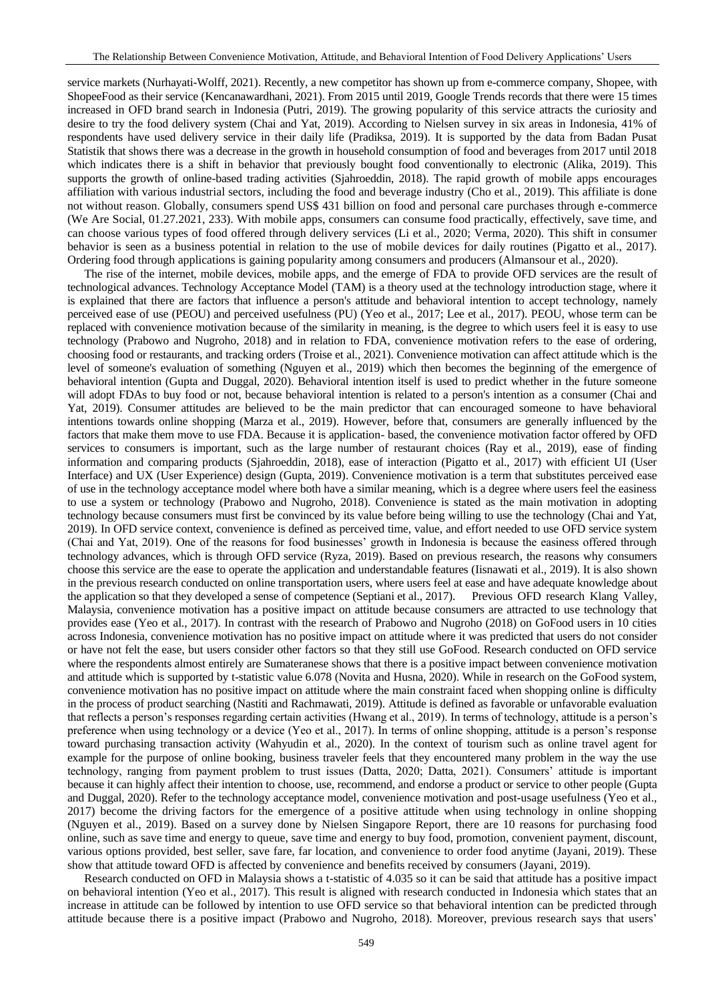service markets (Nurhayati-Wolff, 2021). Recently, a new competitor has shown up from e-commerce company, Shopee, with ShopeeFood as their service (Kencanawardhani, 2021). From 2015 until 2019, Google Trends records that there were 15 times increased in OFD brand search in Indonesia (Putri, 2019). The growing popularity of this service attracts the curiosity and desire to try the food delivery system (Chai and Yat, 2019). According to Nielsen survey in six areas in Indonesia, 41% of respondents have used delivery service in their daily life (Pradiksa, 2019). It is supported by the data from Badan Pusat Statistik that shows there was a decrease in the growth in household consumption of food and beverages from 2017 until 2018 which indicates there is a shift in behavior that previously bought food conventionally to electronic (Alika, 2019). This supports the growth of online-based trading activities (Sjahroeddin, 2018). The rapid growth of mobile apps encourages affiliation with various industrial sectors, including the food and beverage industry (Cho et al., 2019). This affiliate is done not without reason. Globally, consumers spend US\$ 431 billion on food and personal care purchases through e-commerce (We Are Social, 01.27.2021, 233). With mobile apps, consumers can consume food practically, effectively, save time, and can choose various types of food offered through delivery services (Li et al., 2020; Verma, 2020). This shift in consumer behavior is seen as a business potential in relation to the use of mobile devices for daily routines (Pigatto et al., 2017). Ordering food through applications is gaining popularity among consumers and producers (Almansour et al., 2020).

The rise of the internet, mobile devices, mobile apps, and the emerge of FDA to provide OFD services are the result of technological advances. Technology Acceptance Model (TAM) is a theory used at the technology introduction stage, where it is explained that there are factors that influence a person's attitude and behavioral intention to accept technology, namely perceived ease of use (PEOU) and perceived usefulness (PU) (Yeo et al., 2017; Lee et al., 2017). PEOU, whose term can be replaced with convenience motivation because of the similarity in meaning, is the degree to which users feel it is easy to use technology (Prabowo and Nugroho, 2018) and in relation to FDA, convenience motivation refers to the ease of ordering, choosing food or restaurants, and tracking orders (Troise et al., 2021). Convenience motivation can affect attitude which is the level of someone's evaluation of something (Nguyen et al., 2019) which then becomes the beginning of the emergence of behavioral intention (Gupta and Duggal, 2020). Behavioral intention itself is used to predict whether in the future someone will adopt FDAs to buy food or not, because behavioral intention is related to a person's intention as a consumer (Chai and Yat, 2019). Consumer attitudes are believed to be the main predictor that can encouraged someone to have behavioral intentions towards online shopping (Marza et al., 2019). However, before that, consumers are generally influenced by the factors that make them move to use FDA. Because it is application- based, the convenience motivation factor offered by OFD services to consumers is important, such as the large number of restaurant choices (Ray et al., 2019), ease of finding information and comparing products (Sjahroeddin, 2018), ease of interaction (Pigatto et al., 2017) with efficient UI (User Interface) and UX (User Experience) design (Gupta, 2019). Convenience motivation is a term that substitutes perceived ease of use in the technology acceptance model where both have a similar meaning, which is a degree where users feel the easiness to use a system or technology (Prabowo and Nugroho, 2018). Convenience is stated as the main motivation in adopting technology because consumers must first be convinced by its value before being willing to use the technology (Chai and Yat, 2019). In OFD service context, convenience is defined as perceived time, value, and effort needed to use OFD service system (Chai and Yat, 2019). One of the reasons for food businesses' growth in Indonesia is because the easiness offered through technology advances, which is through OFD service (Ryza, 2019). Based on previous research, the reasons why consumers choose this service are the ease to operate the application and understandable features (Iisnawati et al., 2019). It is also shown in the previous research conducted on online transportation users, where users feel at ease and have adequate knowledge about the application so that they developed a sense of competence (Septiani et al., 2017). Previous OFD research Klang Valley, Malaysia, convenience motivation has a positive impact on attitude because consumers are attracted to use technology that provides ease (Yeo et al., 2017). In contrast with the research of Prabowo and Nugroho (2018) on GoFood users in 10 cities across Indonesia, convenience motivation has no positive impact on attitude where it was predicted that users do not consider or have not felt the ease, but users consider other factors so that they still use GoFood. Research conducted on OFD service where the respondents almost entirely are Sumateranese shows that there is a positive impact between convenience motivation and attitude which is supported by t-statistic value 6.078 (Novita and Husna, 2020). While in research on the GoFood system, convenience motivation has no positive impact on attitude where the main constraint faced when shopping online is difficulty in the process of product searching (Nastiti and Rachmawati, 2019). Attitude is defined as favorable or unfavorable evaluation that reflects a person's responses regarding certain activities (Hwang et al., 2019). In terms of technology, attitude is a person's preference when using technology or a device (Yeo et al., 2017). In terms of online shopping, attitude is a person's response toward purchasing transaction activity (Wahyudin et al., 2020). In the context of tourism such as online travel agent for example for the purpose of online booking, business traveler feels that they encountered many problem in the way the use technology, ranging from payment problem to trust issues (Datta, 2020; Datta, 2021). Consumers' attitude is important because it can highly affect their intention to choose, use, recommend, and endorse a product or service to other people (Gupta and Duggal, 2020). Refer to the technology acceptance model, convenience motivation and post-usage usefulness (Yeo et al., 2017) become the driving factors for the emergence of a positive attitude when using technology in online shopping (Nguyen et al., 2019). Based on a survey done by Nielsen Singapore Report, there are 10 reasons for purchasing food online, such as save time and energy to queue, save time and energy to buy food, promotion, convenient payment, discount, various options provided, best seller, save fare, far location, and convenience to order food anytime (Jayani, 2019). These show that attitude toward OFD is affected by convenience and benefits received by consumers (Jayani, 2019).

Research conducted on OFD in Malaysia shows a t-statistic of 4.035 so it can be said that attitude has a positive impact on behavioral intention (Yeo et al., 2017). This result is aligned with research conducted in Indonesia which states that an increase in attitude can be followed by intention to use OFD service so that behavioral intention can be predicted through attitude because there is a positive impact (Prabowo and Nugroho, 2018). Moreover, previous research says that users'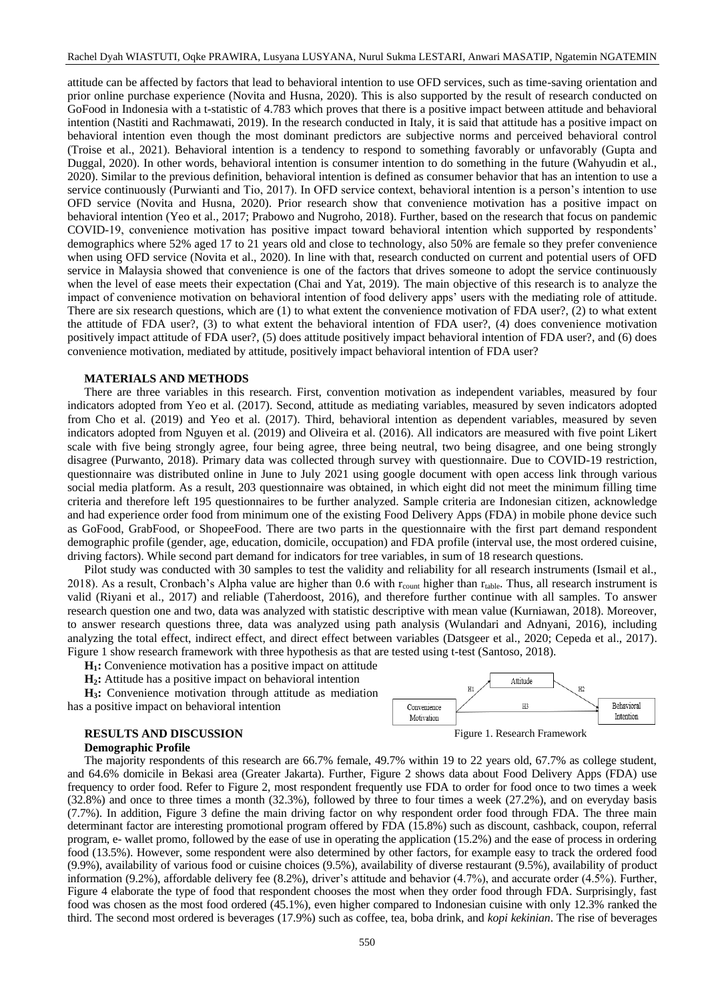attitude can be affected by factors that lead to behavioral intention to use OFD services, such as time-saving orientation and prior online purchase experience (Novita and Husna, 2020). This is also supported by the result of research conducted on GoFood in Indonesia with a t-statistic of 4.783 which proves that there is a positive impact between attitude and behavioral intention (Nastiti and Rachmawati, 2019). In the research conducted in Italy, it is said that attitude has a positive impact on behavioral intention even though the most dominant predictors are subjective norms and perceived behavioral control (Troise et al., 2021). Behavioral intention is a tendency to respond to something favorably or unfavorably (Gupta and Duggal, 2020). In other words, behavioral intention is consumer intention to do something in the future (Wahyudin et al., 2020). Similar to the previous definition, behavioral intention is defined as consumer behavior that has an intention to use a service continuously (Purwianti and Tio, 2017). In OFD service context, behavioral intention is a person's intention to use OFD service (Novita and Husna, 2020). Prior research show that convenience motivation has a positive impact on behavioral intention (Yeo et al., 2017; Prabowo and Nugroho, 2018). Further, based on the research that focus on pandemic COVID-19, convenience motivation has positive impact toward behavioral intention which supported by respondents' demographics where 52% aged 17 to 21 years old and close to technology, also 50% are female so they prefer convenience when using OFD service (Novita et al., 2020). In line with that, research conducted on current and potential users of OFD service in Malaysia showed that convenience is one of the factors that drives someone to adopt the service continuously when the level of ease meets their expectation (Chai and Yat, 2019). The main objective of this research is to analyze the impact of convenience motivation on behavioral intention of food delivery apps' users with the mediating role of attitude. There are six research questions, which are (1) to what extent the convenience motivation of FDA user?, (2) to what extent the attitude of FDA user?, (3) to what extent the behavioral intention of FDA user?, (4) does convenience motivation positively impact attitude of FDA user?, (5) does attitude positively impact behavioral intention of FDA user?, and (6) does convenience motivation, mediated by attitude, positively impact behavioral intention of FDA user?

#### **MATERIALS AND METHODS**

There are three variables in this research. First, convention motivation as independent variables, measured by four indicators adopted from Yeo et al. (2017). Second, attitude as mediating variables, measured by seven indicators adopted from Cho et al. (2019) and Yeo et al. (2017). Third, behavioral intention as dependent variables, measured by seven indicators adopted from Nguyen et al. (2019) and Oliveira et al. (2016). All indicators are measured with five point Likert scale with five being strongly agree, four being agree, three being neutral, two being disagree, and one being strongly disagree (Purwanto, 2018). Primary data was collected through survey with questionnaire. Due to COVID-19 restriction, questionnaire was distributed online in June to July 2021 using google document with open access link through various social media platform. As a result, 203 questionnaire was obtained, in which eight did not meet the minimum filling time criteria and therefore left 195 questionnaires to be further analyzed. Sample criteria are Indonesian citizen, acknowledge and had experience order food from minimum one of the existing Food Delivery Apps (FDA) in mobile phone device such as GoFood, GrabFood, or ShopeeFood. There are two parts in the questionnaire with the first part demand respondent demographic profile (gender, age, education, domicile, occupation) and FDA profile (interval use, the most ordered cuisine, driving factors). While second part demand for indicators for tree variables, in sum of 18 research questions.

Pilot study was conducted with 30 samples to test the validity and reliability for all research instruments (Ismail et al., 2018). As a result, Cronbach's Alpha value are higher than 0.6 with  $r_{\text{count}}$  higher than  $r_{\text{table}}$ . Thus, all research instrument is valid (Riyani et al., 2017) and reliable (Taherdoost, 2016), and therefore further continue with all samples. To answer research question one and two, data was analyzed with statistic descriptive with mean value (Kurniawan, 2018). Moreover, to answer research questions three, data was analyzed using path analysis (Wulandari and Adnyani, 2016), including analyzing the total effect, indirect effect, and direct effect between variables (Datsgeer et al., 2020; Cepeda et al., 2017). Figure 1 show research framework with three hypothesis as that are tested using t-test (Santoso, 2018).

**H1:** Convenience motivation has a positive impact on attitude

**H2:** Attitude has a positive impact on behavioral intention

**H3:** Convenience motivation through attitude as mediation has a positive impact on behavioral intention

#### **RESULTS AND DISCUSSION** Figure 1. Research Framework

#### **Demographic Profile**



The majority respondents of this research are 66.7% female, 49.7% within 19 to 22 years old, 67.7% as college student, and 64.6% domicile in Bekasi area (Greater Jakarta). Further, Figure 2 shows data about Food Delivery Apps (FDA) use frequency to order food. Refer to Figure 2, most respondent frequently use FDA to order for food once to two times a week (32.8%) and once to three times a month (32.3%), followed by three to four times a week (27.2%), and on everyday basis (7.7%). In addition, Figure 3 define the main driving factor on why respondent order food through FDA. The three main determinant factor are interesting promotional program offered by FDA (15.8%) such as discount, cashback, coupon, referral program, e- wallet promo, followed by the ease of use in operating the application (15.2%) and the ease of process in ordering food (13.5%). However, some respondent were also determined by other factors, for example easy to track the ordered food (9.9%), availability of various food or cuisine choices (9.5%), availability of diverse restaurant (9.5%), availability of product information (9.2%), affordable delivery fee (8.2%), driver's attitude and behavior (4.7%), and accurate order (4.5%). Further, Figure 4 elaborate the type of food that respondent chooses the most when they order food through FDA. Surprisingly, fast food was chosen as the most food ordered (45.1%), even higher compared to Indonesian cuisine with only 12.3% ranked the third. The second most ordered is beverages (17.9%) such as coffee, tea, boba drink, and *kopi kekinian*. The rise of beverages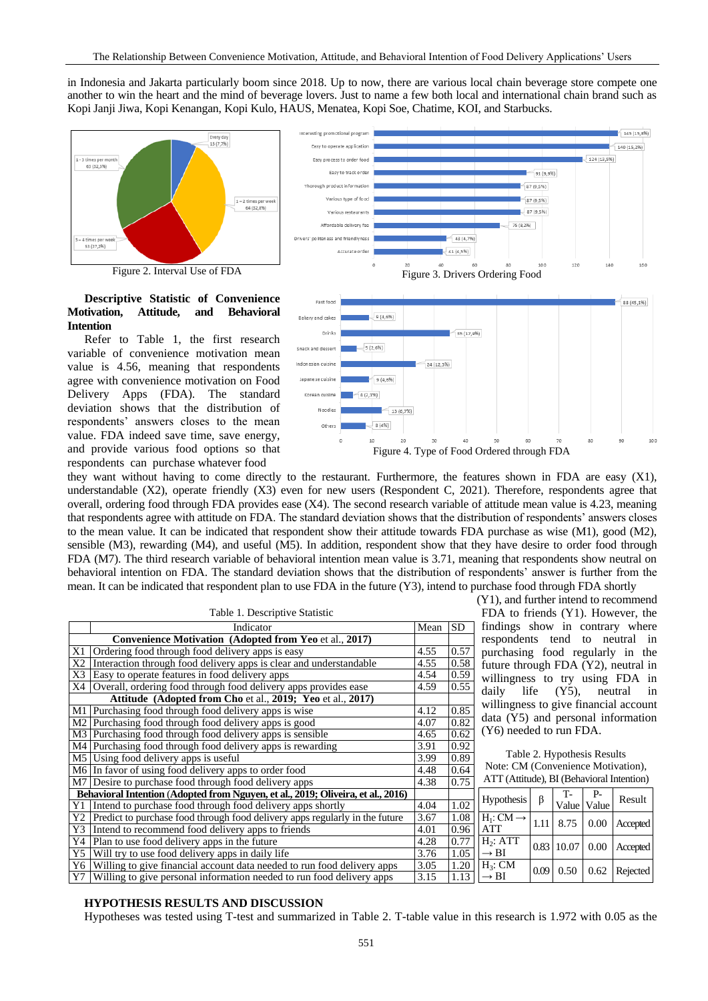in Indonesia and Jakarta particularly boom since 2018. Up to now, there are various local chain beverage store compete one another to win the heart and the mind of beverage lovers. Just to name a few both local and international chain brand such as Kopi Janji Jiwa, Kopi Kenangan, Kopi Kulo, HAUS, Menatea, Kopi Soe, Chatime, KOI, and Starbucks.

resting promotio





## **Descriptive Statistic of Convenience Motivation, Attitude, and Behavioral Intention**

Refer to Table 1, the first research variable of convenience motivation mean value is 4.56, meaning that respondents agree with convenience motivation on Food Delivery Apps (FDA). The standard deviation shows that the distribution of respondents' answers closes to the mean value. FDA indeed save time, save energy, and provide various food options so that respondents can purchase whatever food



Figure 4. Type of Food Ordered through FDA

they want without having to come directly to the restaurant. Furthermore, the features shown in FDA are easy (X1), understandable (X2), operate friendly (X3) even for new users (Respondent C, 2021). Therefore, respondents agree that overall, ordering food through FDA provides ease (X4). The second research variable of attitude mean value is 4.23, meaning that respondents agree with attitude on FDA. The standard deviation shows that the distribution of respondents' answers closes to the mean value. It can be indicated that respondent show their attitude towards FDA purchase as wise (M1), good (M2), sensible (M3), rewarding (M4), and useful (M5). In addition, respondent show that they have desire to order food through FDA (M7). The third research variable of behavioral intention mean value is 3.71, meaning that respondents show neutral on behavioral intention on FDA. The standard deviation shows that the distribution of respondents' answer is further from the mean. It can be indicated that respondent plan to use FDA in the future (Y3), intend to purchase food through FDA shortly

|                                                        | Table 1. Descriptive Statistic                                                   |      |      |  |  |  |
|--------------------------------------------------------|----------------------------------------------------------------------------------|------|------|--|--|--|
|                                                        | Indicator                                                                        | Mean | SD.  |  |  |  |
| Convenience Motivation (Adopted from Yeo et al., 2017) |                                                                                  |      |      |  |  |  |
| X1                                                     | Ordering food through food delivery apps is easy                                 | 4.55 | 0.57 |  |  |  |
| X2                                                     | Interaction through food delivery apps is clear and understandable               | 4.55 | 0.58 |  |  |  |
| X3                                                     | Easy to operate features in food delivery apps                                   | 4.54 | 0.59 |  |  |  |
| Χ4                                                     | Overall, ordering food through food delivery apps provides ease                  | 4.59 | 0.55 |  |  |  |
|                                                        | Attitude (Adopted from Cho et al., 2019; Yeo et al., 2017)                       |      |      |  |  |  |
| M1                                                     | Purchasing food through food delivery apps is wise                               | 4.12 | 0.85 |  |  |  |
|                                                        | M2 Purchasing food through food delivery apps is good                            | 4.07 | 0.82 |  |  |  |
|                                                        | M3 Purchasing food through food delivery apps is sensible                        | 4.65 | 0.62 |  |  |  |
|                                                        | M4 Purchasing food through food delivery apps is rewarding                       | 3.91 | 0.92 |  |  |  |
|                                                        | M5 Using food delivery apps is useful                                            | 3.99 | 0.89 |  |  |  |
|                                                        | M6 In favor of using food delivery apps to order food                            | 4.48 | 0.64 |  |  |  |
|                                                        | M7 Desire to purchase food through food delivery apps                            | 4.38 | 0.75 |  |  |  |
|                                                        | Behavioral Intention (Adopted from Nguyen, et al., 2019; Oliveira, et al., 2016) |      |      |  |  |  |
| Y1                                                     | Intend to purchase food through food delivery apps shortly                       | 4.04 | 1.02 |  |  |  |
| Y2                                                     | Predict to purchase food through food delivery apps regularly in the future      | 3.67 | 1.08 |  |  |  |
| Y3                                                     | Intend to recommend food delivery apps to friends                                | 4.01 | 0.96 |  |  |  |
| Y4                                                     | Plan to use food delivery apps in the future                                     | 4.28 | 0.77 |  |  |  |
| Y5                                                     | Will try to use food delivery apps in daily life                                 | 3.76 | 1.05 |  |  |  |
| Y6                                                     | Willing to give financial account data needed to run food delivery apps          | 3.05 | 1.20 |  |  |  |
| Y7                                                     | Willing to give personal information needed to run food delivery apps            | 3.15 | 1.13 |  |  |  |

(Y1), and further intend to recommend FDA to friends (Y1). However, the findings show in contrary where respondents tend to neutral in purchasing food regularly in the future through FDA (Y2), neutral in willingness to try using FDA in daily life (Y5), neutral in willingness to give financial account data (Y5) and personal information (Y6) needed to run FDA.

 $145(15,8\%)$ 

Table 2. Hypothesis Results Note: CM (Convenience Motivation), ATT (Attitude), BI (Behavioral Intention)

| $\overline{\mathbf{r}}$ | Hypothesis                      | β | T-<br>Value Value | $P-$ | Result                     |  |
|-------------------------|---------------------------------|---|-------------------|------|----------------------------|--|
| 3<br>5                  | $H_1: CM \rightarrow ATT$       |   |                   |      | 1.11 8.75 0.00 Accepted    |  |
| 5                       | $H_2$ : ATT<br>$\rightarrow$ BI |   |                   |      | $0.83$ 10.07 0.00 Accepted |  |
| $\overline{\mathbf{3}}$ | $H_3$ : CM<br>$\rightarrow$ BI  |   | $0.09 \ 0.50$     |      | 0.62 Rejected              |  |

### **HYPOTHESIS RESULTS AND DISCUSSION**

Hypotheses was tested using T-test and summarized in Table 2. T-table value in this research is 1.972 with 0.05 as the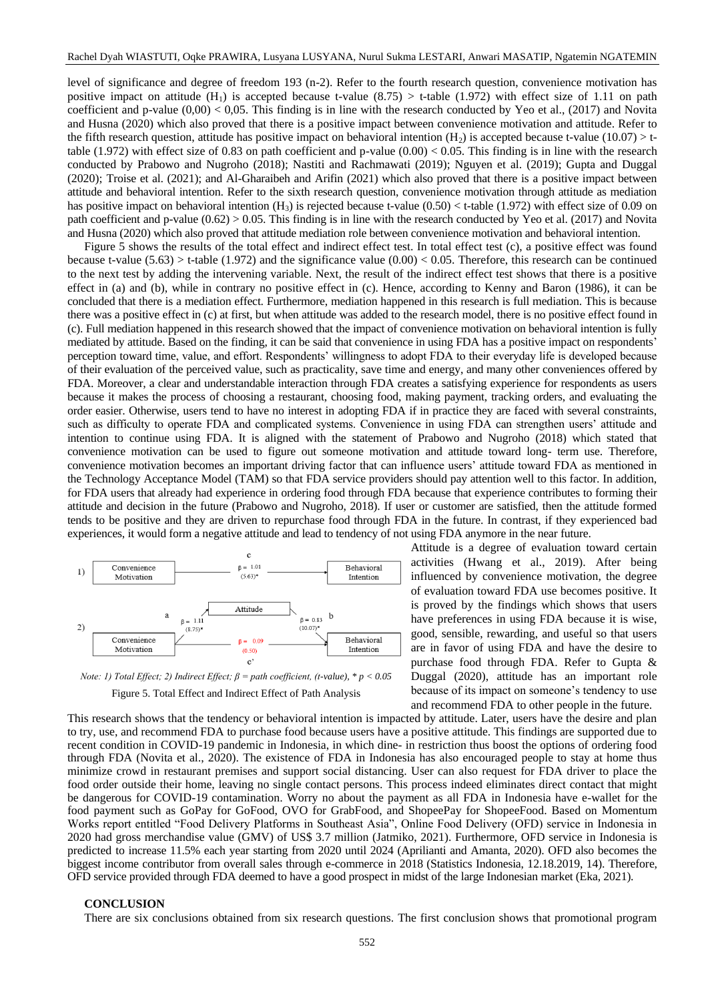level of significance and degree of freedom 193 (n-2). Refer to the fourth research question, convenience motivation has positive impact on attitude  $(H_1)$  is accepted because t-value (8.75) > t-table (1.972) with effect size of 1.11 on path coefficient and p-value  $(0.00)$  < 0.05. This finding is in line with the research conducted by Yeo et al., (2017) and Novita and Husna (2020) which also proved that there is a positive impact between convenience motivation and attitude. Refer to the fifth research question, attitude has positive impact on behavioral intention  $(H_2)$  is accepted because t-value (10.07) > ttable (1.972) with effect size of 0.83 on path coefficient and p-value  $(0.00) < 0.05$ . This finding is in line with the research conducted by Prabowo and Nugroho (2018); Nastiti and Rachmawati (2019); Nguyen et al. (2019); Gupta and Duggal (2020); Troise et al. (2021); and Al-Gharaibeh and Arifin (2021) which also proved that there is a positive impact between attitude and behavioral intention. Refer to the sixth research question, convenience motivation through attitude as mediation has positive impact on behavioral intention  $(H_3)$  is rejected because t-value  $(0.50) <$  t-table  $(1.972)$  with effect size of 0.09 on path coefficient and p-value (0.62) > 0.05. This finding is in line with the research conducted by Yeo et al. (2017) and Novita and Husna (2020) which also proved that attitude mediation role between convenience motivation and behavioral intention.

Figure 5 shows the results of the total effect and indirect effect test. In total effect test (c), a positive effect was found because t-value (5.63) > t-table (1.972) and the significance value (0.00) < 0.05. Therefore, this research can be continued to the next test by adding the intervening variable. Next, the result of the indirect effect test shows that there is a positive effect in (a) and (b), while in contrary no positive effect in (c). Hence, according to Kenny and Baron (1986), it can be concluded that there is a mediation effect. Furthermore, mediation happened in this research is full mediation. This is because there was a positive effect in (c) at first, but when attitude was added to the research model, there is no positive effect found in (c). Full mediation happened in this research showed that the impact of convenience motivation on behavioral intention is fully mediated by attitude. Based on the finding, it can be said that convenience in using FDA has a positive impact on respondents' perception toward time, value, and effort. Respondents' willingness to adopt FDA to their everyday life is developed because of their evaluation of the perceived value, such as practicality, save time and energy, and many other conveniences offered by FDA. Moreover, a clear and understandable interaction through FDA creates a satisfying experience for respondents as users because it makes the process of choosing a restaurant, choosing food, making payment, tracking orders, and evaluating the order easier. Otherwise, users tend to have no interest in adopting FDA if in practice they are faced with several constraints, such as difficulty to operate FDA and complicated systems. Convenience in using FDA can strengthen users' attitude and intention to continue using FDA. It is aligned with the statement of Prabowo and Nugroho (2018) which stated that convenience motivation can be used to figure out someone motivation and attitude toward long- term use. Therefore, convenience motivation becomes an important driving factor that can influence users' attitude toward FDA as mentioned in the Technology Acceptance Model (TAM) so that FDA service providers should pay attention well to this factor. In addition, for FDA users that already had experience in ordering food through FDA because that experience contributes to forming their attitude and decision in the future (Prabowo and Nugroho, 2018). If user or customer are satisfied, then the attitude formed tends to be positive and they are driven to repurchase food through FDA in the future. In contrast, if they experienced bad experiences, it would form a negative attitude and lead to tendency of not using FDA anymore in the near future.



is proved by the findings which shows that users have preferences in using FDA because it is wise, good, sensible, rewarding, and useful so that users are in favor of using FDA and have the desire to purchase food through FDA. Refer to Gupta & Duggal (2020), attitude has an important role because of its impact on someone's tendency to use

Attitude is a degree of evaluation toward certain activities (Hwang et al., 2019). After being influenced by convenience motivation, the degree of evaluation toward FDA use becomes positive. It

and recommend FDA to other people in the future.

*Note: 1) Total Effect; 2) Indirect Effect; β = path coefficient, (t-value), \* p < 0.05*

Figure 5. Total Effect and Indirect Effect of Path Analysis

This research shows that the tendency or behavioral intention is impacted by attitude. Later, users have the desire and plan to try, use, and recommend FDA to purchase food because users have a positive attitude. This findings are supported due to recent condition in COVID-19 pandemic in Indonesia, in which dine- in restriction thus boost the options of ordering food through FDA (Novita et al., 2020). The existence of FDA in Indonesia has also encouraged people to stay at home thus minimize crowd in restaurant premises and support social distancing. User can also request for FDA driver to place the food order outside their home, leaving no single contact persons. This process indeed eliminates direct contact that might be dangerous for COVID-19 contamination. Worry no about the payment as all FDA in Indonesia have e-wallet for the food payment such as GoPay for GoFood, OVO for GrabFood, and ShopeePay for ShopeeFood. Based on Momentum Works report entitled "Food Delivery Platforms in Southeast Asia", Online Food Delivery (OFD) service in Indonesia in 2020 had gross merchandise value (GMV) of US\$ 3.7 million (Jatmiko, 2021). Furthermore, OFD service in Indonesia is predicted to increase 11.5% each year starting from 2020 until 2024 (Aprilianti and Amanta, 2020). OFD also becomes the biggest income contributor from overall sales through e-commerce in 2018 (Statistics Indonesia, 12.18.2019, 14). Therefore, OFD service provided through FDA deemed to have a good prospect in midst of the large Indonesian market (Eka, 2021).

### **CONCLUSION**

There are six conclusions obtained from six research questions. The first conclusion shows that promotional program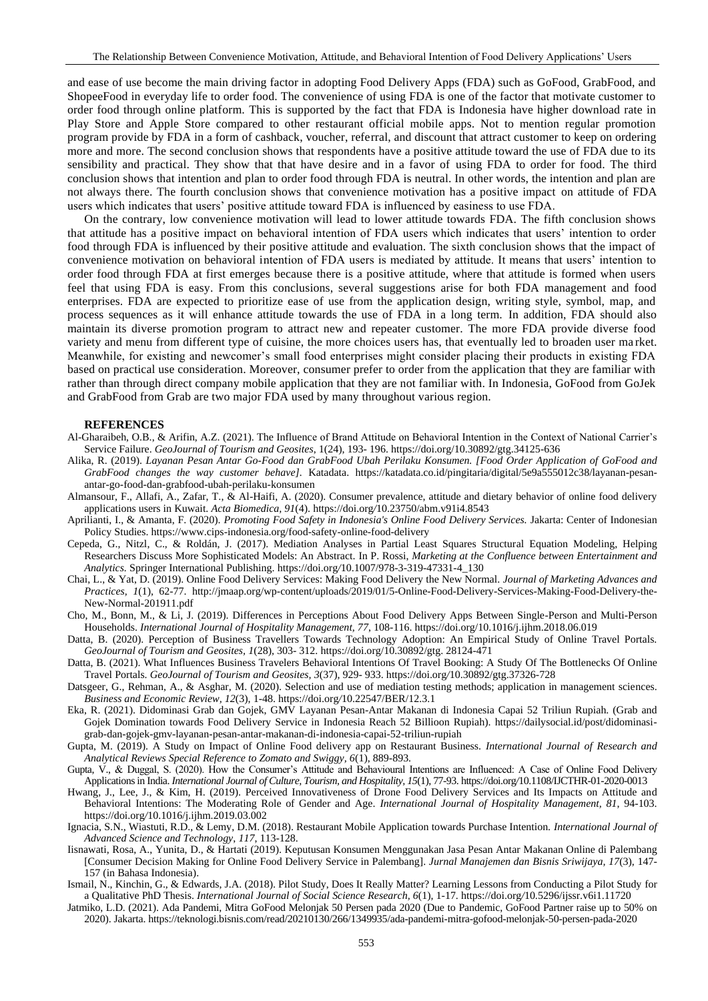and ease of use become the main driving factor in adopting Food Delivery Apps (FDA) such as GoFood, GrabFood, and ShopeeFood in everyday life to order food. The convenience of using FDA is one of the factor that motivate customer to order food through online platform. This is supported by the fact that FDA is Indonesia have higher download rate in Play Store and Apple Store compared to other restaurant official mobile apps. Not to mention regular promotion program provide by FDA in a form of cashback, voucher, referral, and discount that attract customer to keep on ordering more and more. The second conclusion shows that respondents have a positive attitude toward the use of FDA due to its sensibility and practical. They show that that have desire and in a favor of using FDA to order for food. The third conclusion shows that intention and plan to order food through FDA is neutral. In other words, the intention and plan are not always there. The fourth conclusion shows that convenience motivation has a positive impact on attitude of FDA users which indicates that users' positive attitude toward FDA is influenced by easiness to use FDA.

On the contrary, low convenience motivation will lead to lower attitude towards FDA. The fifth conclusion shows that attitude has a positive impact on behavioral intention of FDA users which indicates that users' intention to order food through FDA is influenced by their positive attitude and evaluation. The sixth conclusion shows that the impact of convenience motivation on behavioral intention of FDA users is mediated by attitude. It means that users' intention to order food through FDA at first emerges because there is a positive attitude, where that attitude is formed when users feel that using FDA is easy. From this conclusions, several suggestions arise for both FDA management and food enterprises. FDA are expected to prioritize ease of use from the application design, writing style, symbol, map, and process sequences as it will enhance attitude towards the use of FDA in a long term. In addition, FDA should also maintain its diverse promotion program to attract new and repeater customer. The more FDA provide diverse food variety and menu from different type of cuisine, the more choices users has, that eventually led to broaden user ma rket. Meanwhile, for existing and newcomer's small food enterprises might consider placing their products in existing FDA based on practical use consideration. Moreover, consumer prefer to order from the application that they are familiar with rather than through direct company mobile application that they are not familiar with. In Indonesia, GoFood from GoJek and GrabFood from Grab are two major FDA used by many throughout various region.

#### **REFERENCES**

- Al-Gharaibeh, O.B., & Arifin, A.Z. (2021). The Influence of Brand Attitude on Behavioral Intention in the Context of National Carrier's Service Failure. *GeoJournal of Tourism and Geosites*, 1(24), 193- 196. https://doi.org/10.30892/gtg.34125-636
- Alika, R. (2019). *Layanan Pesan Antar Go-Food dan GrabFood Ubah Perilaku Konsumen. [Food Order Application of GoFood and GrabFood changes the way customer behave].* Katadata. https://katadata.co.id/pingitaria/digital/5e9a555012c38/layanan-pesanantar-go-food-dan-grabfood-ubah-perilaku-konsumen
- Almansour, F., Allafi, A., Zafar, T., & Al-Haifi, A. (2020). Consumer prevalence, attitude and dietary behavior of online food delivery applications users in Kuwait. *Acta Biomedica, 91*(4). https://doi.org*/*10.23750/abm.v91i4.8543
- Aprilianti, I., & Amanta, F. (2020). *Promoting Food Safety in Indonesia's Online Food Delivery Services.* Jakarta: Center of Indonesian Policy Studies. https://www.cips-indonesia.org/food-safety-online-food-delivery
- Cepeda, G., Nitzl, C., & Roldán, J. (2017). Mediation Analyses in Partial Least Squares Structural Equation Modeling, Helping Researchers Discuss More Sophisticated Models: An Abstract. In P. Rossi, *Marketing at the Confluence between Entertainment and Analytics.* Springer International Publishing. https://doi.org*/*10.1007/978-3-319-47331-4\_130
- Chai, L., & Yat, D. (2019). Online Food Delivery Services: Making Food Delivery the New Normal. *Journal of Marketing Advances and Practices, 1*(1), 62-77. http://jmaap.org/wp-content/uploads/2019/01/5-Online-Food-Delivery-Services-Making-Food-Delivery-the-New-Normal-201911.pdf
- Cho, M., Bonn, M., & Li, J. (2019). Differences in Perceptions About Food Delivery Apps Between Single-Person and Multi-Person Households. *International Journal of Hospitality Management, 77*, 108-116. [https://doi.org/1](https://doi.org/)0.1016/j.ijhm.2018.06.019
- Datta, B. (2020). Perception of Business Travellers Towards Technology Adoption: An Empirical Study of Online Travel Portals. *GeoJournal of Tourism and Geosites, 1*(28), 303- 312[. https://doi.org/1](https://doi.org/)0.30892/gtg. 28124-471
- Datta, B. (2021). What Influences Business Travelers Behavioral Intentions Of Travel Booking: A Study Of The Bottlenecks Of Online Travel Portals. *GeoJournal of Tourism and Geosites, 3*(37), 929- 933. https://doi.org*/*10.30892/gtg.37326-728
- Datsgeer, G., Rehman, A., & Asghar, M. (2020). Selection and use of mediation testing methods; application in management sciences. *Business and Economic Review, 12*(3), 1-48. https://doi.org*/*10.22547/BER/12.3.1
- Eka, R. (2021). Didominasi Grab dan Gojek, GMV Layanan Pesan-Antar Makanan di Indonesia Capai 52 Triliun Rupiah. (Grab and Gojek Domination towards Food Delivery Service in Indonesia Reach 52 Billioon Rupiah). https://dailysocial.id/post/didominasigrab-dan-gojek-gmv-layanan-pesan-antar-makanan-di-indonesia-capai-52-triliun-rupiah
- Gupta, M. (2019). A Study on Impact of Online Food delivery app on Restaurant Business. *International Journal of Research and Analytical Reviews Special Reference to Zomato and Swiggy, 6*(1), 889-893.
- Gupta, V., & Duggal, S. (2020). How the Consumer's Attitude and Behavioural Intentions are Influenced: A Case of Online Food Delivery Applications in India. *International Journal of Culture, Tourism, and Hospitality, 15*(1), 77-93. https://doi.org*/*10.1108/IJCTHR-01-2020-0013
- Hwang, J., Lee, J., & Kim, H. (2019). Perceived Innovativeness of Drone Food Delivery Services and Its Impacts on Attitude and Behavioral Intentions: The Moderating Role of Gender and Age. *International Journal of Hospitality Management, 81*, 94-103. https://doi.org*/*10.1016/j.ijhm.2019.03.002
- Ignacia, S.N., Wiastuti, R.D., & Lemy, D.M. (2018). Restaurant Mobile Application towards Purchase Intention. *International Journal of Advanced Science and Technology*, *117*, 113-128.
- Iisnawati, Rosa, A., Yunita, D., & Hartati (2019). Keputusan Konsumen Menggunakan Jasa Pesan Antar Makanan Online di Palembang [Consumer Decision Making for Online Food Delivery Service in Palembang]. *Jurnal Manajemen dan Bisnis Sriwijaya, 17*(3), 147- 157 (in Bahasa Indonesia).
- Ismail, N., Kinchin, G., & Edwards, J.A. (2018). Pilot Study, Does It Really Matter? Learning Lessons from Conducting a Pilot Study for a Qualitative PhD Thesis. *International Journal of Social Science Research, 6*(1), 1-17. https://doi.org*/*10.5296/ijssr.v6i1.11720
- Jatmiko, L.D. (2021). Ada Pandemi, Mitra GoFood Melonjak 50 Persen pada 2020 (Due to Pandemic, GoFood Partner raise up to 50% on 2020). Jakarta. https://teknologi.bisnis.com/read/20210130/266/1349935/ada-pandemi-mitra-gofood-melonjak-50-persen-pada-2020